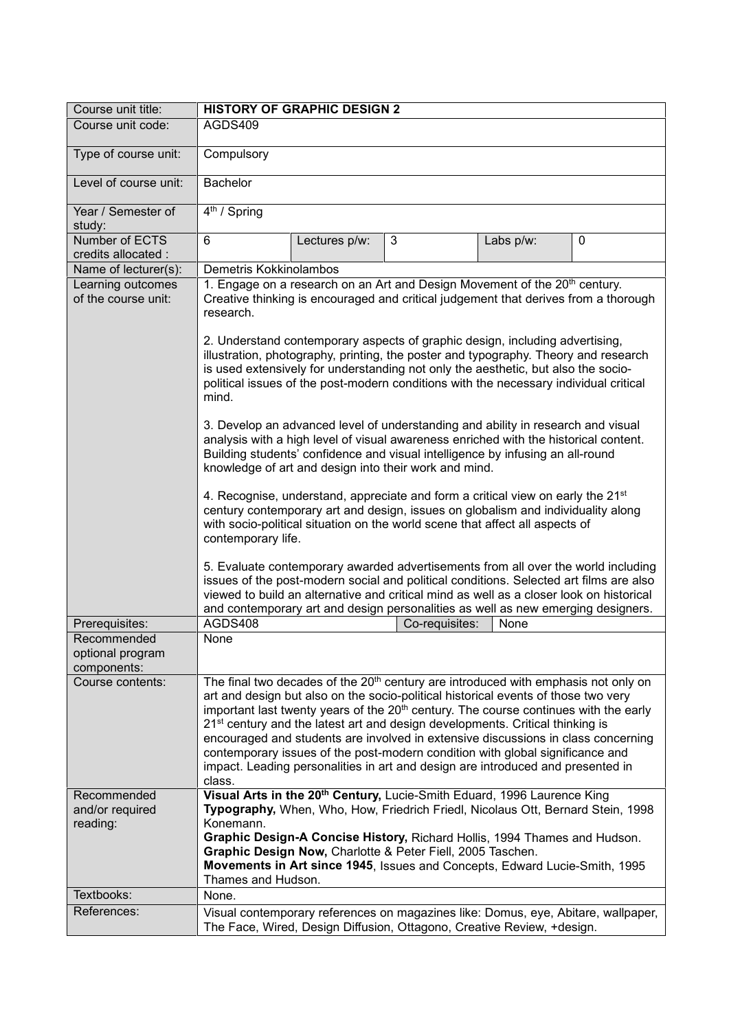| Course unit title:                             | <b>HISTORY OF GRAPHIC DESIGN 2</b>                                                                                                                                                                                                                                                                                                                                                                                                                                                                                                                                                                                                                                                                                                                                                                                                                                                                                                                                                                                                                                                                                                                                                                                                                                                                                                                                                                                                                 |
|------------------------------------------------|----------------------------------------------------------------------------------------------------------------------------------------------------------------------------------------------------------------------------------------------------------------------------------------------------------------------------------------------------------------------------------------------------------------------------------------------------------------------------------------------------------------------------------------------------------------------------------------------------------------------------------------------------------------------------------------------------------------------------------------------------------------------------------------------------------------------------------------------------------------------------------------------------------------------------------------------------------------------------------------------------------------------------------------------------------------------------------------------------------------------------------------------------------------------------------------------------------------------------------------------------------------------------------------------------------------------------------------------------------------------------------------------------------------------------------------------------|
| Course unit code:                              | AGDS409                                                                                                                                                                                                                                                                                                                                                                                                                                                                                                                                                                                                                                                                                                                                                                                                                                                                                                                                                                                                                                                                                                                                                                                                                                                                                                                                                                                                                                            |
| Type of course unit:                           | Compulsory                                                                                                                                                                                                                                                                                                                                                                                                                                                                                                                                                                                                                                                                                                                                                                                                                                                                                                                                                                                                                                                                                                                                                                                                                                                                                                                                                                                                                                         |
| Level of course unit:                          | <b>Bachelor</b>                                                                                                                                                                                                                                                                                                                                                                                                                                                                                                                                                                                                                                                                                                                                                                                                                                                                                                                                                                                                                                                                                                                                                                                                                                                                                                                                                                                                                                    |
| Year / Semester of<br>study:                   | $4th$ / Spring                                                                                                                                                                                                                                                                                                                                                                                                                                                                                                                                                                                                                                                                                                                                                                                                                                                                                                                                                                                                                                                                                                                                                                                                                                                                                                                                                                                                                                     |
| Number of ECTS<br>credits allocated :          | 6<br>Lectures p/w:<br>3<br>Labs p/w:<br>0                                                                                                                                                                                                                                                                                                                                                                                                                                                                                                                                                                                                                                                                                                                                                                                                                                                                                                                                                                                                                                                                                                                                                                                                                                                                                                                                                                                                          |
| Name of lecturer(s):                           | Demetris Kokkinolambos                                                                                                                                                                                                                                                                                                                                                                                                                                                                                                                                                                                                                                                                                                                                                                                                                                                                                                                                                                                                                                                                                                                                                                                                                                                                                                                                                                                                                             |
| Learning outcomes<br>of the course unit:       | 1. Engage on a research on an Art and Design Movement of the 20 <sup>th</sup> century.<br>Creative thinking is encouraged and critical judgement that derives from a thorough<br>research.<br>2. Understand contemporary aspects of graphic design, including advertising,<br>illustration, photography, printing, the poster and typography. Theory and research<br>is used extensively for understanding not only the aesthetic, but also the socio-<br>political issues of the post-modern conditions with the necessary individual critical<br>mind.<br>3. Develop an advanced level of understanding and ability in research and visual<br>analysis with a high level of visual awareness enriched with the historical content.<br>Building students' confidence and visual intelligence by infusing an all-round<br>knowledge of art and design into their work and mind.<br>4. Recognise, understand, appreciate and form a critical view on early the 21 <sup>st</sup><br>century contemporary art and design, issues on globalism and individuality along<br>with socio-political situation on the world scene that affect all aspects of<br>contemporary life.<br>5. Evaluate contemporary awarded advertisements from all over the world including<br>issues of the post-modern social and political conditions. Selected art films are also<br>viewed to build an alternative and critical mind as well as a closer look on historical |
| Prerequisites:                                 | and contemporary art and design personalities as well as new emerging designers.<br>AGDS408<br>Co-requisites:<br>None                                                                                                                                                                                                                                                                                                                                                                                                                                                                                                                                                                                                                                                                                                                                                                                                                                                                                                                                                                                                                                                                                                                                                                                                                                                                                                                              |
| Recommended<br>optional program<br>components: | None                                                                                                                                                                                                                                                                                                                                                                                                                                                                                                                                                                                                                                                                                                                                                                                                                                                                                                                                                                                                                                                                                                                                                                                                                                                                                                                                                                                                                                               |
| Course contents:                               | The final two decades of the 20 <sup>th</sup> century are introduced with emphasis not only on<br>art and design but also on the socio-political historical events of those two very<br>important last twenty years of the 20 <sup>th</sup> century. The course continues with the early<br>21 <sup>st</sup> century and the latest art and design developments. Critical thinking is<br>encouraged and students are involved in extensive discussions in class concerning<br>contemporary issues of the post-modern condition with global significance and<br>impact. Leading personalities in art and design are introduced and presented in<br>class.                                                                                                                                                                                                                                                                                                                                                                                                                                                                                                                                                                                                                                                                                                                                                                                           |
| Recommended<br>and/or required<br>reading:     | Visual Arts in the 20 <sup>th</sup> Century, Lucie-Smith Eduard, 1996 Laurence King<br>Typography, When, Who, How, Friedrich Friedl, Nicolaus Ott, Bernard Stein, 1998<br>Konemann.<br>Graphic Design-A Concise History, Richard Hollis, 1994 Thames and Hudson.<br>Graphic Design Now, Charlotte & Peter Fiell, 2005 Taschen.<br>Movements in Art since 1945, Issues and Concepts, Edward Lucie-Smith, 1995<br>Thames and Hudson.                                                                                                                                                                                                                                                                                                                                                                                                                                                                                                                                                                                                                                                                                                                                                                                                                                                                                                                                                                                                                 |
| Textbooks:                                     | None.                                                                                                                                                                                                                                                                                                                                                                                                                                                                                                                                                                                                                                                                                                                                                                                                                                                                                                                                                                                                                                                                                                                                                                                                                                                                                                                                                                                                                                              |
| References:                                    | Visual contemporary references on magazines like: Domus, eye, Abitare, wallpaper,<br>The Face, Wired, Design Diffusion, Ottagono, Creative Review, +design.                                                                                                                                                                                                                                                                                                                                                                                                                                                                                                                                                                                                                                                                                                                                                                                                                                                                                                                                                                                                                                                                                                                                                                                                                                                                                        |